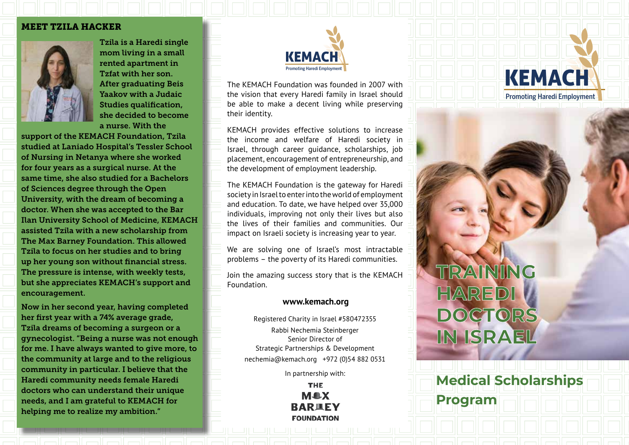#### MEET TZILA HACKER



Tzila is a Haredi single mom living in a small rented apartment in Tzfat with her son. After graduating Beis Yaakov with a Judaic Studies qualification, she decided to become a nurse. With the

support of the KEMACH Foundation, Tzila studied at Laniado Hospital's Tessler School of Nursing in Netanya where she worked for four years as a surgical nurse. At the same time, she also studied for a Bachelors of Sciences degree through the Open University, with the dream of becoming a doctor. When she was accepted to the Bar Ilan University School of Medicine, KEMACH assisted Tzila with a new scholarship from The Max Barney Foundation. This allowed Tzila to focus on her studies and to bring up her young son without financial stress. The pressure is intense, with weekly tests, but she appreciates KEMACH's support and encouragement.

Now in her second year, having completed her first year with a 74% average grade, Tzila dreams of becoming a surgeon or a gynecologist. "Being a nurse was not enough for me. I have always wanted to give more, to the community at large and to the religious community in particular. I believe that the Haredi community needs female Haredi doctors who can understand their unique needs, and I am grateful to KEMACH for helping me to realize my ambition."



The KEMACH Foundation was founded in 2007 with the vision that every Haredi family in Israel should be able to make a decent living while preserving their identity.

KEMACH provides effective solutions to increase the income and welfare of Haredi society in Israel, through career guidance, scholarships, job placement, encouragement of entrepreneurship, and the development of employment leadership.

The KEMACH Foundation is the gateway for Haredi society in Israel to enter into the world of employment and education. To date, we have helped over 35,000 individuals, improving not only their lives but also the lives of their families and communities. Our impact on Israeli society is increasing year to year.

We are solving one of Israel's most intractable problems – the poverty of its Haredi communities.

Join the amazing success story that is the KEMACH Foundation.

#### **www.kemach.org**

Registered Charity in Israel #580472355 Rabbi Nechemia Steinberger Senior Director of Strategic Partnerships & Development nechemia@kemach.org +972 (0)54 882 0531

In partnership with:

**THE M&X BARIEY FOUNDATION** 



**Program**

**Medical Scholarships** 

KEMACH

Promoting Haredi Employment